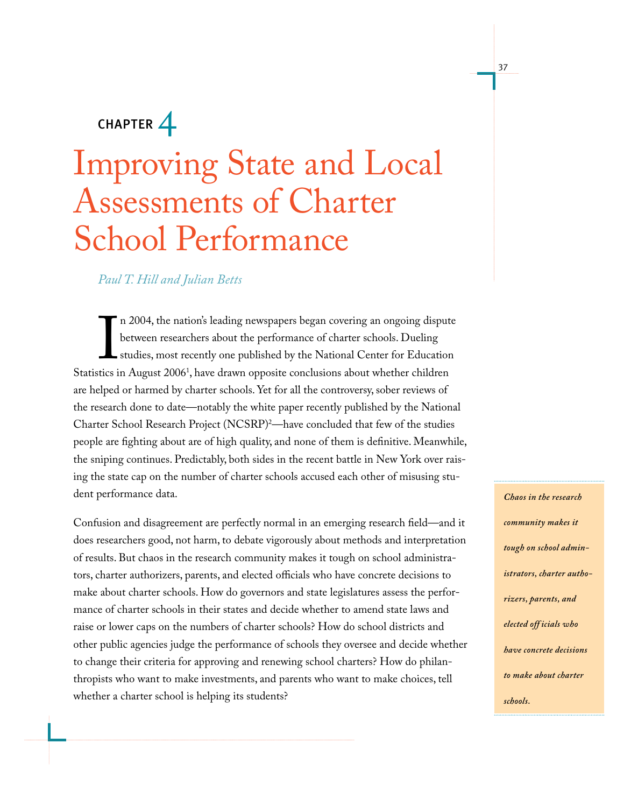## $CHAPTER$ <sup> $\perp$ </sup>

# Improving State and Local Assessments of Charter School Performance

### *Paul T. Hill and Julian Betts*

In 2003, the nations beauing nowepappers exgan covering an engoing dispute<br>between researchers about the performance of charter schools. Dueling<br>studies, most recently one published by the National Center for Education<br>Sta n 2004, the nation's leading newspapers began covering an ongoing dispute between researchers about the performance of charter schools. Dueling studies, most recently one published by the National Center for Education are helped or harmed by charter schools. Yet for all the controversy, sober reviews of the research done to date—notably the white paper recently published by the National Charter School Research Project (NCSRP)2 —have concluded that few of the studies people are fighting about are of high quality, and none of them is definitive. Meanwhile, the sniping continues. Predictably, both sides in the recent battle in New York over raising the state cap on the number of charter schools accused each other of misusing student performance data.

Confusion and disagreement are perfectly normal in an emerging research field—and it does researchers good, not harm, to debate vigorously about methods and interpretation of results. But chaos in the research community makes it tough on school administrators, charter authorizers, parents, and elected officials who have concrete decisions to make about charter schools. How do governors and state legislatures assess the performance of charter schools in their states and decide whether to amend state laws and raise or lower caps on the numbers of charter schools? How do school districts and other public agencies judge the performance of schools they oversee and decide whether to change their criteria for approving and renewing school charters? How do philanthropists who want to make investments, and parents who want to make choices, tell whether a charter school is helping its students?

*Chaos in the research community makes it tough on school administrators, charter authorizers, parents, and elected off icials who have concrete decisions to make about charter schools.*

37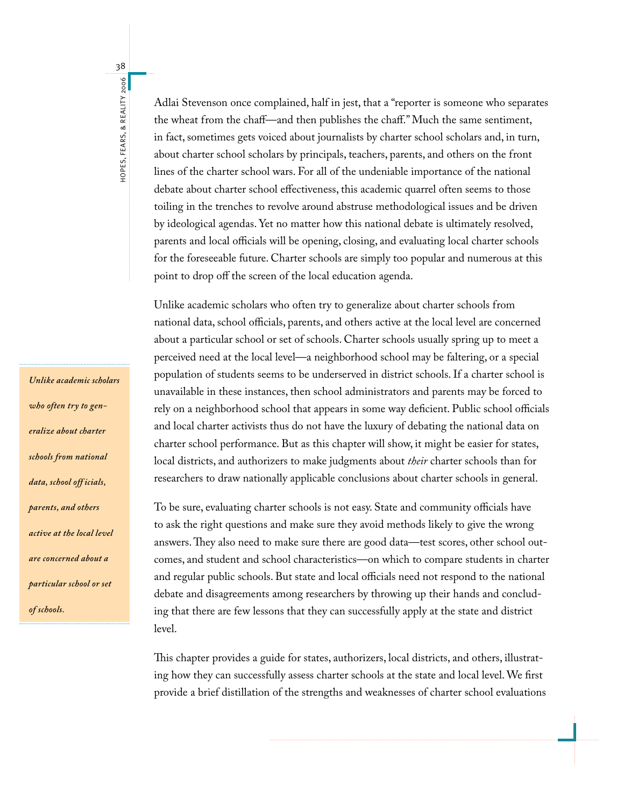Adlai Stevenson once complained, half in jest, that a "reporter is someone who separates the wheat from the chaff—and then publishes the chaff." Much the same sentiment, in fact, sometimes gets voiced about journalists by charter school scholars and, in turn, about charter school scholars by principals, teachers, parents, and others on the front lines of the charter school wars. For all of the undeniable importance of the national debate about charter school effectiveness, this academic quarrel often seems to those toiling in the trenches to revolve around abstruse methodological issues and be driven by ideological agendas. Yet no matter how this national debate is ultimately resolved, parents and local officials will be opening, closing, and evaluating local charter schools for the foreseeable future. Charter schools are simply too popular and numerous at this point to drop off the screen of the local education agenda.

Unlike academic scholars who often try to generalize about charter schools from national data, school officials, parents, and others active at the local level are concerned about a particular school or set of schools. Charter schools usually spring up to meet a perceived need at the local level—a neighborhood school may be faltering, or a special population of students seems to be underserved in district schools. If a charter school is unavailable in these instances, then school administrators and parents may be forced to rely on a neighborhood school that appears in some way deficient. Public school officials and local charter activists thus do not have the luxury of debating the national data on charter school performance. But as this chapter will show, it might be easier for states, local districts, and authorizers to make judgments about *their* charter schools than for researchers to draw nationally applicable conclusions about charter schools in general.

To be sure, evaluating charter schools is not easy. State and community officials have to ask the right questions and make sure they avoid methods likely to give the wrong answers. They also need to make sure there are good data—test scores, other school outcomes, and student and school characteristics—on which to compare students in charter and regular public schools. But state and local officials need not respond to the national debate and disagreements among researchers by throwing up their hands and concluding that there are few lessons that they can successfully apply at the state and district level.

This chapter provides a guide for states, authorizers, local districts, and others, illustrating how they can successfully assess charter schools at the state and local level. We first provide a brief distillation of the strengths and weaknesses of charter school evaluations

*Unlike academic scholars who often try to generalize about charter schools from national data, school off icials, parents, and others active at the local level are concerned about a particular school or set of schools.* 

38HOPES, FEARS, & REALITY 2006 hopes, Fears, & Reality 2006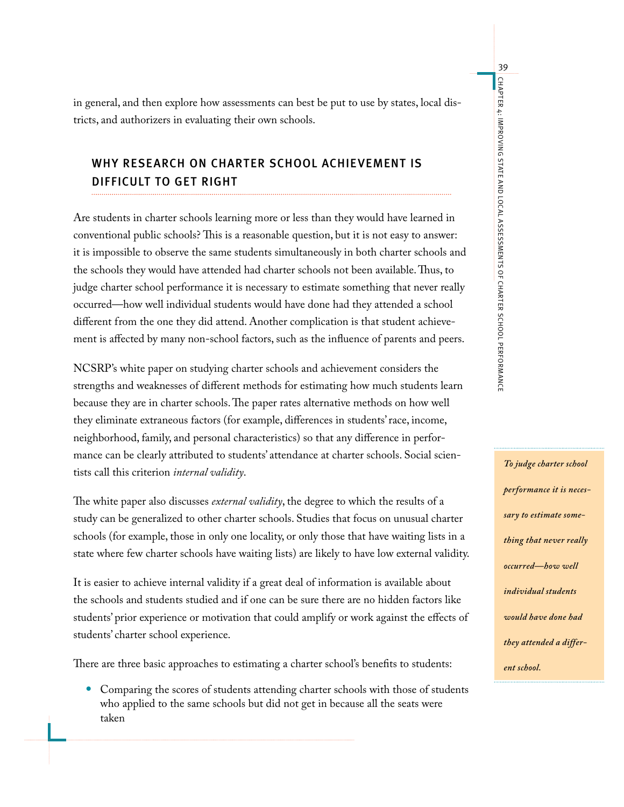in general, and then explore how assessments can best be put to use by states, local districts, and authorizers in evaluating their own schools.

### Why Research on Charter School Achievement Is Difficult to Get Right

Are students in charter schools learning more or less than they would have learned in conventional public schools? This is a reasonable question, but it is not easy to answer: it is impossible to observe the same students simultaneously in both charter schools and the schools they would have attended had charter schools not been available. Thus, to judge charter school performance it is necessary to estimate something that never really occurred—how well individual students would have done had they attended a school different from the one they did attend. Another complication is that student achievement is affected by many non-school factors, such as the influence of parents and peers.

NCSRP's white paper on studying charter schools and achievement considers the strengths and weaknesses of different methods for estimating how much students learn because they are in charter schools. The paper rates alternative methods on how well they eliminate extraneous factors (for example, differences in students' race, income, neighborhood, family, and personal characteristics) so that any difference in performance can be clearly attributed to students' attendance at charter schools. Social scientists call this criterion *internal validity*.

The white paper also discusses *external validity*, the degree to which the results of a study can be generalized to other charter schools. Studies that focus on unusual charter schools (for example, those in only one locality, or only those that have waiting lists in a state where few charter schools have waiting lists) are likely to have low external validity.

It is easier to achieve internal validity if a great deal of information is available about the schools and students studied and if one can be sure there are no hidden factors like students' prior experience or motivation that could amplify or work against the effects of students' charter school experience.

There are three basic approaches to estimating a charter school's benefits to students:

Comparing the scores of students attending charter schools with those of students • who applied to the same schools but did not get in because all the seats were taken

*To judge charter school performance it is necessary to estimate something that never really occurred—how well individual students would have done had they attended a different school.*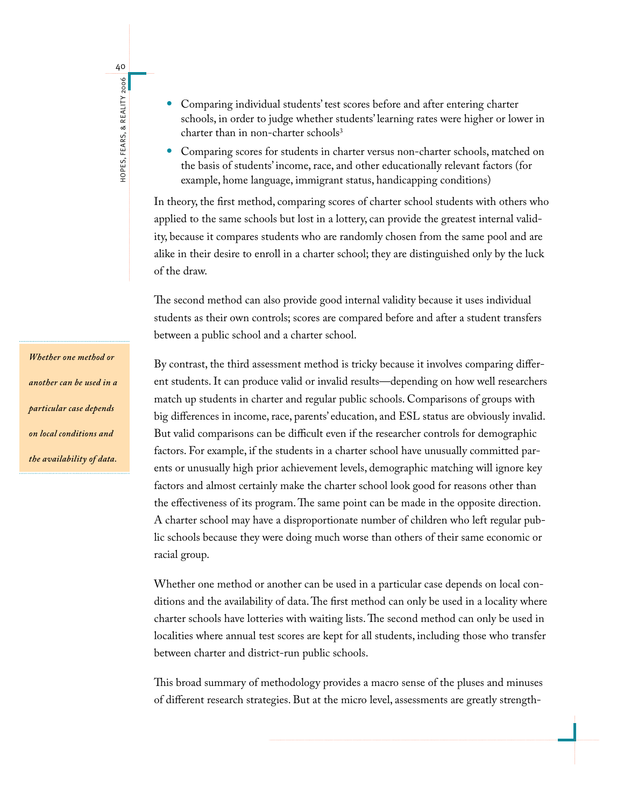- 40HOPES, FEARS, & REALITY 2006 hopes, Fears, & Reality 2006
- Comparing individual students' test scores before and after entering charter schools, in order to judge whether students' learning rates were higher or lower in charter than in non-charter schools<sup>3</sup> •
- Comparing scores for students in charter versus non-charter schools, matched on the basis of students' income, race, and other educationally relevant factors (for example, home language, immigrant status, handicapping conditions) •

In theory, the first method, comparing scores of charter school students with others who applied to the same schools but lost in a lottery, can provide the greatest internal validity, because it compares students who are randomly chosen from the same pool and are alike in their desire to enroll in a charter school; they are distinguished only by the luck of the draw.

The second method can also provide good internal validity because it uses individual students as their own controls; scores are compared before and after a student transfers between a public school and a charter school.

By contrast, the third assessment method is tricky because it involves comparing different students. It can produce valid or invalid results—depending on how well researchers match up students in charter and regular public schools. Comparisons of groups with big differences in income, race, parents' education, and ESL status are obviously invalid. But valid comparisons can be difficult even if the researcher controls for demographic factors. For example, if the students in a charter school have unusually committed parents or unusually high prior achievement levels, demographic matching will ignore key factors and almost certainly make the charter school look good for reasons other than the effectiveness of its program. The same point can be made in the opposite direction. A charter school may have a disproportionate number of children who left regular public schools because they were doing much worse than others of their same economic or racial group.

Whether one method or another can be used in a particular case depends on local conditions and the availability of data. The first method can only be used in a locality where charter schools have lotteries with waiting lists. The second method can only be used in localities where annual test scores are kept for all students, including those who transfer between charter and district-run public schools.

This broad summary of methodology provides a macro sense of the pluses and minuses of different research strategies. But at the micro level, assessments are greatly strength-

*Whether one method or another can be used in a particular case depends on local conditions and the availability of data.*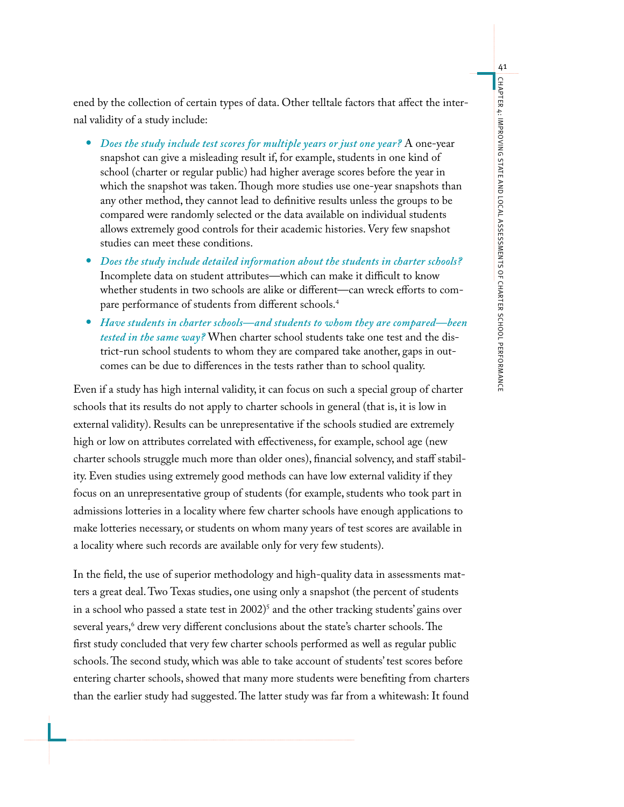ened by the collection of certain types of data. Other telltale factors that affect the internal validity of a study include:

- *Does the study include test scores for multiple years or just one year?* A one-year snapshot can give a misleading result if, for example, students in one kind of school (charter or regular public) had higher average scores before the year in which the snapshot was taken. Though more studies use one-year snapshots than any other method, they cannot lead to definitive results unless the groups to be compared were randomly selected or the data available on individual students allows extremely good controls for their academic histories. Very few snapshot studies can meet these conditions.
- *Does the study include detailed information about the students in charter schools?* Incomplete data on student attributes—which can make it difficult to know whether students in two schools are alike or different—can wreck efforts to compare performance of students from different schools.4
- *Have students in charter schools—and students to whom they are compared—been tested in the same way?* When charter school students take one test and the district-run school students to whom they are compared take another, gaps in outcomes can be due to differences in the tests rather than to school quality.

Even if a study has high internal validity, it can focus on such a special group of charter schools that its results do not apply to charter schools in general (that is, it is low in external validity). Results can be unrepresentative if the schools studied are extremely high or low on attributes correlated with effectiveness, for example, school age (new charter schools struggle much more than older ones), financial solvency, and staff stability. Even studies using extremely good methods can have low external validity if they focus on an unrepresentative group of students (for example, students who took part in admissions lotteries in a locality where few charter schools have enough applications to make lotteries necessary, or students on whom many years of test scores are available in a locality where such records are available only for very few students).

In the field, the use of superior methodology and high-quality data in assessments matters a great deal. Two Texas studies, one using only a snapshot (the percent of students in a school who passed a state test in 2002)<sup>5</sup> and the other tracking students' gains over several years,6 drew very different conclusions about the state's charter schools. The first study concluded that very few charter schools performed as well as regular public schools. The second study, which was able to take account of students' test scores before entering charter schools, showed that many more students were benefiting from charters than the earlier study had suggested. The latter study was far from a whitewash: It found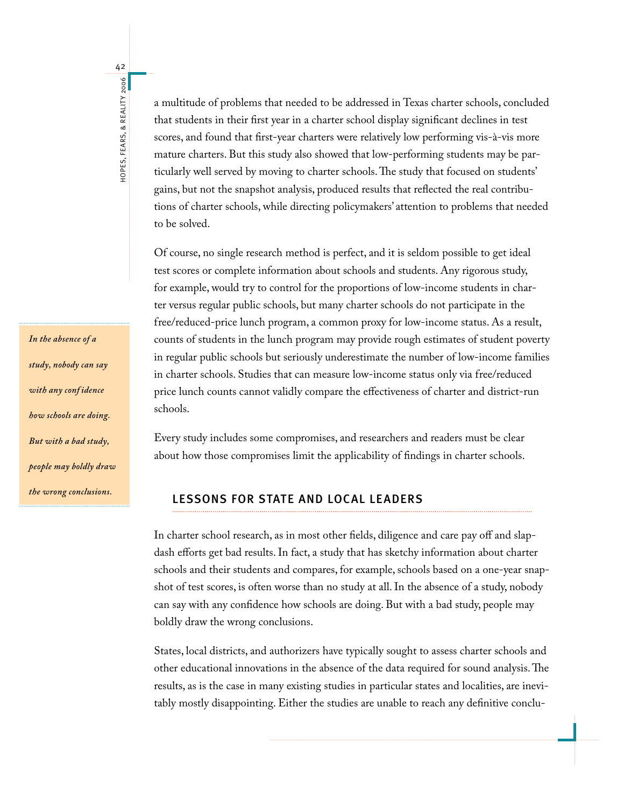*In the absence of a study, nobody can say with any conf idence how schools are doing. But with a bad study, people may boldly draw the wrong conclusions.*

42

hopes, Fears, & Reality 2006

HOPES, FEARS, & REALITY 2006

a multitude of problems that needed to be addressed in Texas charter schools, concluded that students in their first year in a charter school display significant declines in test scores, and found that first-year charters were relatively low performing vis-à-vis more mature charters. But this study also showed that low-performing students may be particularly well served by moving to charter schools. The study that focused on students' gains, but not the snapshot analysis, produced results that reflected the real contributions of charter schools, while directing policymakers' attention to problems that needed to be solved.

Of course, no single research method is perfect, and it is seldom possible to get ideal test scores or complete information about schools and students. Any rigorous study, for example, would try to control for the proportions of low-income students in charter versus regular public schools, but many charter schools do not participate in the free/reduced-price lunch program, a common proxy for low-income status. As a result, counts of students in the lunch program may provide rough estimates of student poverty in regular public schools but seriously underestimate the number of low-income families in charter schools. Studies that can measure low-income status only via free/reduced price lunch counts cannot validly compare the effectiveness of charter and district-run schools.

Every study includes some compromises, and researchers and readers must be clear about how those compromises limit the applicability of findings in charter schools.

#### Lessons for State and Local Leaders

In charter school research, as in most other fields, diligence and care pay off and slapdash efforts get bad results. In fact, a study that has sketchy information about charter schools and their students and compares, for example, schools based on a one-year snapshot of test scores, is often worse than no study at all. In the absence of a study, nobody can say with any confidence how schools are doing. But with a bad study, people may boldly draw the wrong conclusions.

States, local districts, and authorizers have typically sought to assess charter schools and other educational innovations in the absence of the data required for sound analysis. The results, as is the case in many existing studies in particular states and localities, are inevitably mostly disappointing. Either the studies are unable to reach any definitive conclu-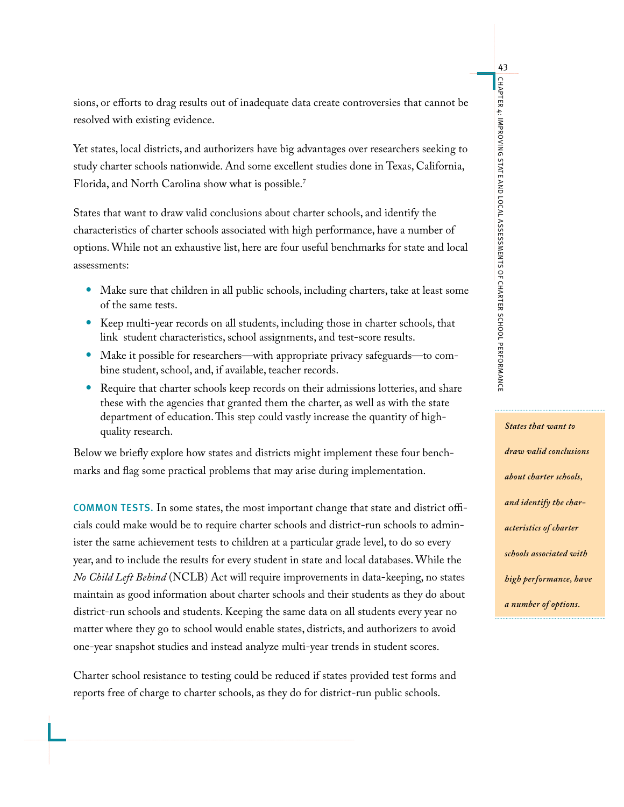sions, or efforts to drag results out of inadequate data create controversies that cannot be resolved with existing evidence.

Yet states, local districts, and authorizers have big advantages over researchers seeking to study charter schools nationwide. And some excellent studies done in Texas, California, Florida, and North Carolina show what is possible.7

States that want to draw valid conclusions about charter schools, and identify the characteristics of charter schools associated with high performance, have a number of options. While not an exhaustive list, here are four useful benchmarks for state and local assessments:

- Make sure that children in all public schools, including charters, take at least some of the same tests.
- Keep multi-year records on all students, including those in charter schools, that link student characteristics, school assignments, and test-score results.
- Make it possible for researchers—with appropriate privacy safeguards—to com-• bine student, school, and, if available, teacher records.
- Require that charter schools keep records on their admissions lotteries, and share these with the agencies that granted them the charter, as well as with the state department of education. This step could vastly increase the quantity of highquality research.

Below we briefly explore how states and districts might implement these four benchmarks and flag some practical problems that may arise during implementation.

Common tests. In some states, the most important change that state and district officials could make would be to require charter schools and district-run schools to administer the same achievement tests to children at a particular grade level, to do so every year, and to include the results for every student in state and local databases. While the *No Child Left Behind* (NCLB) Act will require improvements in data-keeping, no states maintain as good information about charter schools and their students as they do about district-run schools and students. Keeping the same data on all students every year no matter where they go to school would enable states, districts, and authorizers to avoid one-year snapshot studies and instead analyze multi-year trends in student scores.

Charter school resistance to testing could be reduced if states provided test forms and reports free of charge to charter schools, as they do for district-run public schools.

*States that want to draw valid conclusions about charter schools, and identify the characteristics of charter schools associated with high performance, have a number of options.*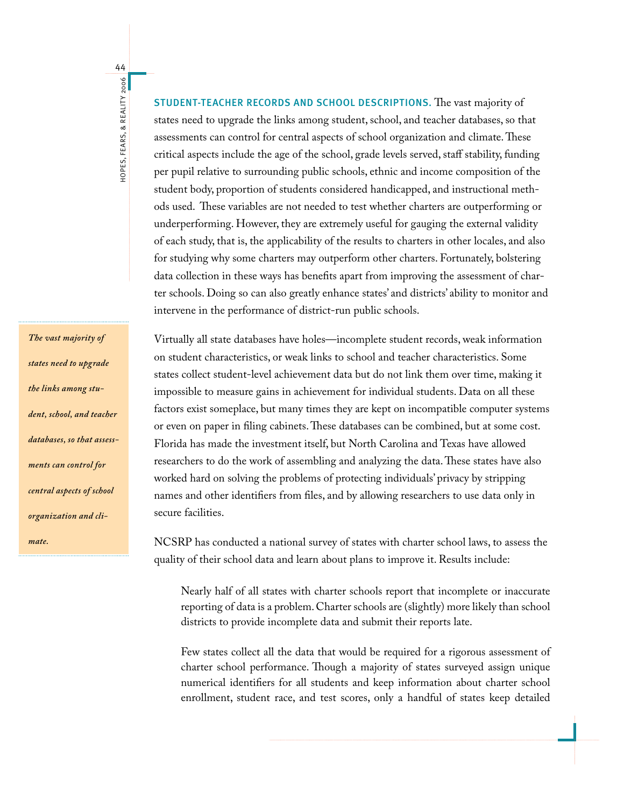44HOPES, FEARS, & REALITY 2006 hopes, Fears, & Reality 2006

*The vast majority of states need to upgrade the links among student, school, and teacher databases, so that assessments can control for central aspects of school organization and climate.* 

Student-teacher records and school descriptions. The vast majority of states need to upgrade the links among student, school, and teacher databases, so that assessments can control for central aspects of school organization and climate. These critical aspects include the age of the school, grade levels served, staff stability, funding per pupil relative to surrounding public schools, ethnic and income composition of the student body, proportion of students considered handicapped, and instructional methods used. These variables are not needed to test whether charters are outperforming or underperforming. However, they are extremely useful for gauging the external validity of each study, that is, the applicability of the results to charters in other locales, and also for studying why some charters may outperform other charters. Fortunately, bolstering data collection in these ways has benefits apart from improving the assessment of charter schools. Doing so can also greatly enhance states' and districts' ability to monitor and intervene in the performance of district-run public schools.

Virtually all state databases have holes—incomplete student records, weak information on student characteristics, or weak links to school and teacher characteristics. Some states collect student-level achievement data but do not link them over time, making it impossible to measure gains in achievement for individual students. Data on all these factors exist someplace, but many times they are kept on incompatible computer systems or even on paper in filing cabinets. These databases can be combined, but at some cost. Florida has made the investment itself, but North Carolina and Texas have allowed researchers to do the work of assembling and analyzing the data. These states have also worked hard on solving the problems of protecting individuals' privacy by stripping names and other identifiers from files, and by allowing researchers to use data only in secure facilities.

NCSRP has conducted a national survey of states with charter school laws, to assess the quality of their school data and learn about plans to improve it. Results include:

Nearly half of all states with charter schools report that incomplete or inaccurate reporting of data is a problem. Charter schools are (slightly) more likely than school districts to provide incomplete data and submit their reports late.

Few states collect all the data that would be required for a rigorous assessment of charter school performance. Though a majority of states surveyed assign unique numerical identifiers for all students and keep information about charter school enrollment, student race, and test scores, only a handful of states keep detailed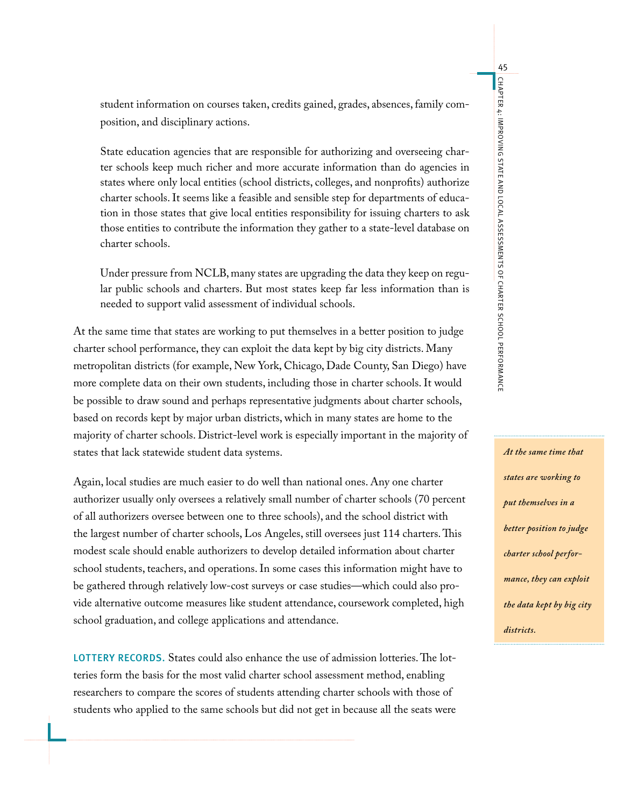student information on courses taken, credits gained, grades, absences, family composition, and disciplinary actions.

State education agencies that are responsible for authorizing and overseeing charter schools keep much richer and more accurate information than do agencies in states where only local entities (school districts, colleges, and nonprofits) authorize charter schools. It seems like a feasible and sensible step for departments of education in those states that give local entities responsibility for issuing charters to ask those entities to contribute the information they gather to a state-level database on charter schools.

Under pressure from NCLB, many states are upgrading the data they keep on regular public schools and charters. But most states keep far less information than is needed to support valid assessment of individual schools.

At the same time that states are working to put themselves in a better position to judge charter school performance, they can exploit the data kept by big city districts. Many metropolitan districts (for example, New York, Chicago, Dade County, San Diego) have more complete data on their own students, including those in charter schools. It would be possible to draw sound and perhaps representative judgments about charter schools, based on records kept by major urban districts, which in many states are home to the majority of charter schools. District-level work is especially important in the majority of states that lack statewide student data systems.

Again, local studies are much easier to do well than national ones. Any one charter authorizer usually only oversees a relatively small number of charter schools (70 percent of all authorizers oversee between one to three schools), and the school district with the largest number of charter schools, Los Angeles, still oversees just 114 charters. This modest scale should enable authorizers to develop detailed information about charter school students, teachers, and operations. In some cases this information might have to be gathered through relatively low-cost surveys or case studies—which could also provide alternative outcome measures like student attendance, coursework completed, high school graduation, and college applications and attendance.

LOTTERY RECORDS. States could also enhance the use of admission lotteries. The lotteries form the basis for the most valid charter school assessment method, enabling researchers to compare the scores of students attending charter schools with those of students who applied to the same schools but did not get in because all the seats were

*At the same time that states are working to put themselves in a better position to judge charter school performance, they can exploit the data kept by big city districts.*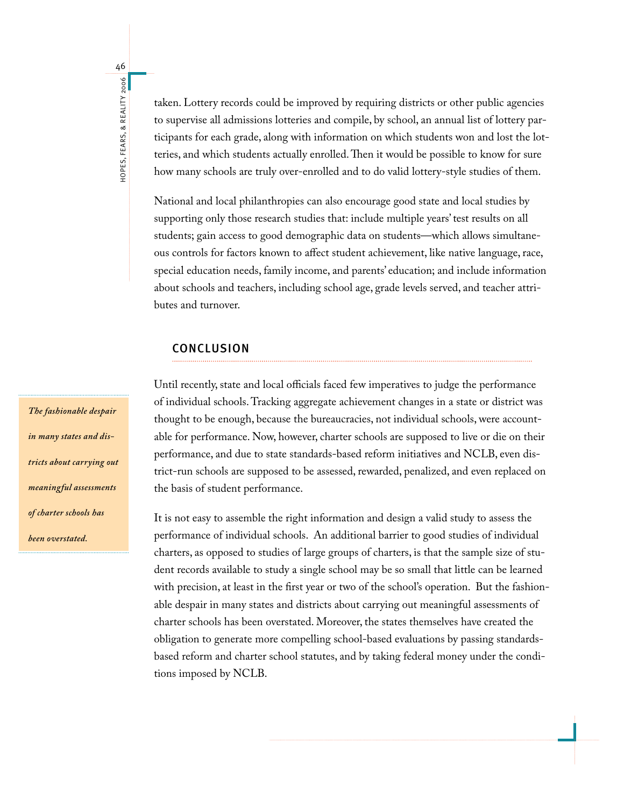HOPES, FEARS, & REALITY 2006 hopes, Fears, & Reality 2006

46

taken. Lottery records could be improved by requiring districts or other public agencies to supervise all admissions lotteries and compile, by school, an annual list of lottery participants for each grade, along with information on which students won and lost the lotteries, and which students actually enrolled. Then it would be possible to know for sure how many schools are truly over-enrolled and to do valid lottery-style studies of them.

National and local philanthropies can also encourage good state and local studies by supporting only those research studies that: include multiple years' test results on all students; gain access to good demographic data on students—which allows simultaneous controls for factors known to affect student achievement, like native language, race, special education needs, family income, and parents' education; and include information about schools and teachers, including school age, grade levels served, and teacher attributes and turnover.

#### **CONCLUSION**

Until recently, state and local officials faced few imperatives to judge the performance of individual schools. Tracking aggregate achievement changes in a state or district was thought to be enough, because the bureaucracies, not individual schools, were accountable for performance. Now, however, charter schools are supposed to live or die on their performance, and due to state standards-based reform initiatives and NCLB, even district-run schools are supposed to be assessed, rewarded, penalized, and even replaced on the basis of student performance.

It is not easy to assemble the right information and design a valid study to assess the performance of individual schools. An additional barrier to good studies of individual charters, as opposed to studies of large groups of charters, is that the sample size of student records available to study a single school may be so small that little can be learned with precision, at least in the first year or two of the school's operation. But the fashionable despair in many states and districts about carrying out meaningful assessments of charter schools has been overstated. Moreover, the states themselves have created the obligation to generate more compelling school-based evaluations by passing standardsbased reform and charter school statutes, and by taking federal money under the conditions imposed by NCLB.

*The fashionable despair in many states and districts about carrying out meaningful assessments of charter schools has been overstated.*